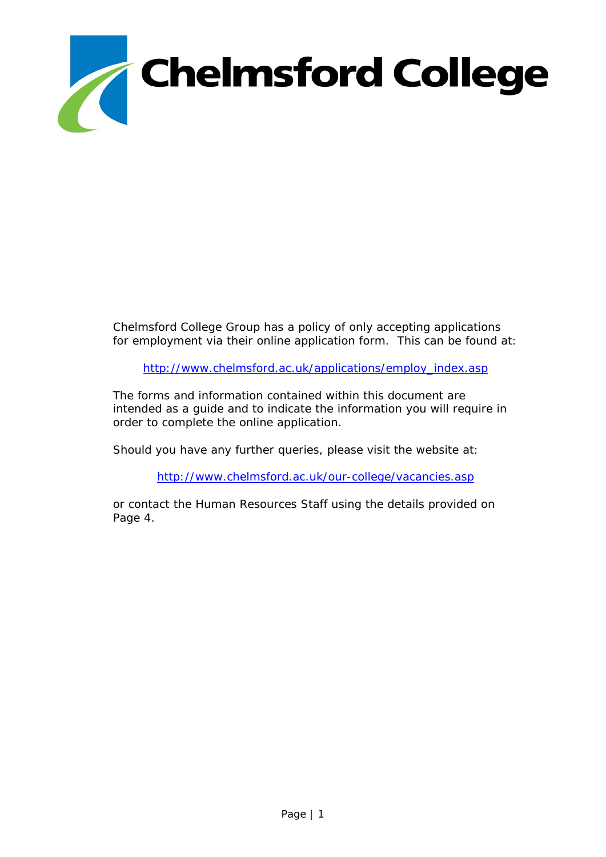

Chelmsford College Group has a policy of only accepting applications for employment via their online application form. This can be found at:

[http://www.chelmsford.ac.uk/applications/employ\\_index.asp](http://www.chelmsford.ac.uk/applications/employ_index.asp)

The forms and information contained within this document are intended as a guide and to indicate the information you will require in order to complete the online application.

Should you have any further queries, please visit the website at:

<http://www.chelmsford.ac.uk/our-college/vacancies.asp>

or contact the Human Resources Staff using the details provided on Page 4.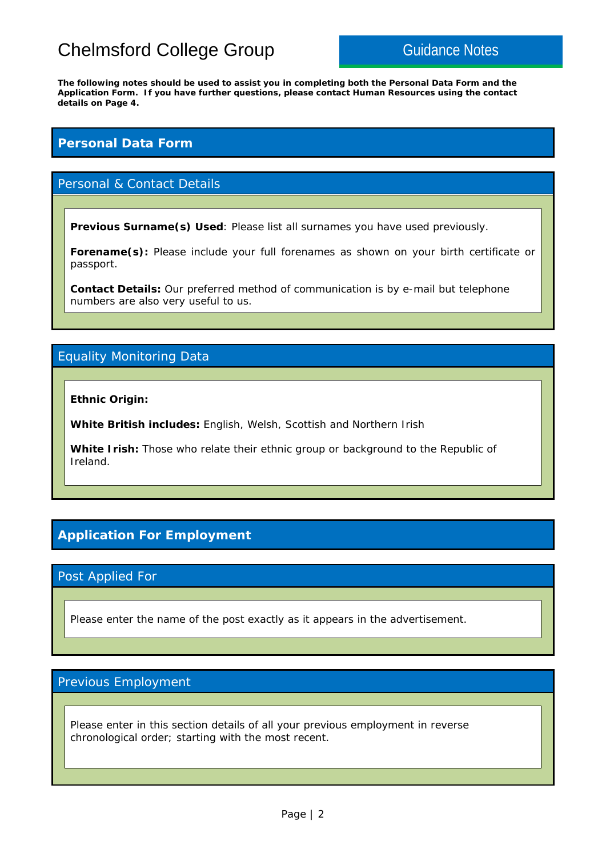# Chelmsford College Group Guidance Notes

**The following notes should be used to assist you in completing both the Personal Data Form and the Application Form. If you have further questions, please contact Human Resources using the contact details on Page 4.** 

### **Personal Data Form**

### Personal & Contact Details

**Previous Surname(s) Used**: Please list all surnames you have used previously.

**Forename(s):** Please include your full forenames as shown on your birth certificate or passport.

**Contact Details:** Our preferred method of communication is by e-mail but telephone numbers are also very useful to us.

### Equality Monitoring Data

**Ethnic Origin:** 

**White British includes:** English, Welsh, Scottish and Northern Irish

**White Irish:** Those who relate their ethnic group or background to the Republic of Ireland.

### **Application For Employment**

### Post Applied For

Please enter the name of the post exactly as it appears in the advertisement.

### Previous Employment

Please enter in this section details of all your previous employment in reverse chronological order; starting with the most recent.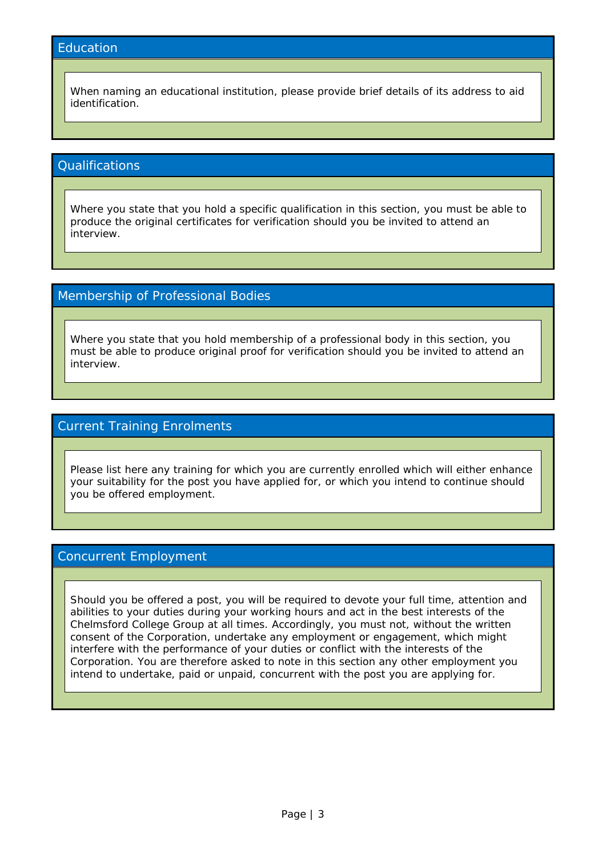### **Education**

When naming an educational institution, please provide brief details of its address to aid identification.

### **Qualifications**

Where you state that you hold a specific qualification in this section, you must be able to produce the original certificates for verification should you be invited to attend an interview.

### Membership of Professional Bodies

Where you state that you hold membership of a professional body in this section, you must be able to produce original proof for verification should you be invited to attend an interview.

### Current Training Enrolments

Please list here any training for which you are currently enrolled which will either enhance your suitability for the post you have applied for, or which you intend to continue should you be offered employment.

### Concurrent Employment

Should you be offered a post, you will be required to devote your full time, attention and abilities to your duties during your working hours and act in the best interests of the Chelmsford College Group at all times. Accordingly, you must not, without the written consent of the Corporation, undertake any employment or engagement, which might interfere with the performance of your duties or conflict with the interests of the Corporation. You are therefore asked to note in this section any other employment you intend to undertake, paid or unpaid, concurrent with the post you are applying for.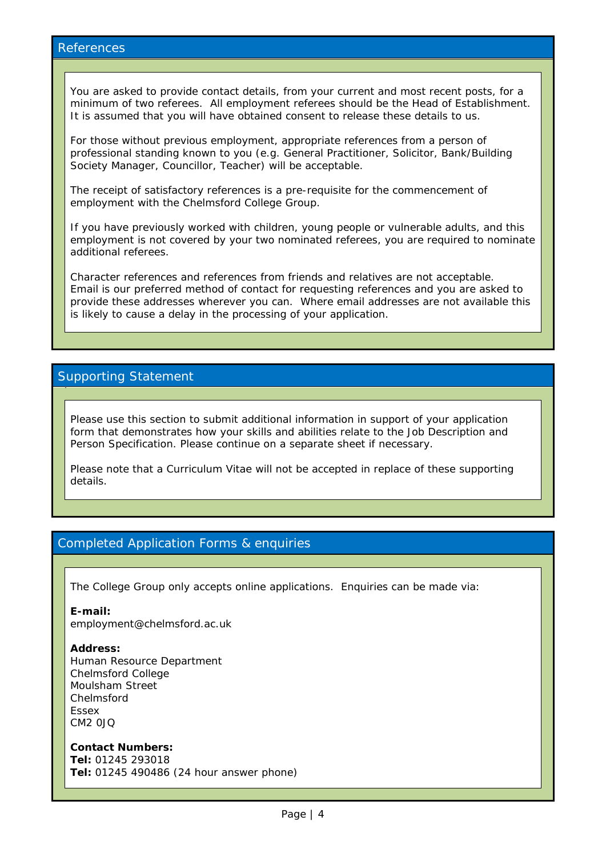### References

You are asked to provide contact details, from your current and most recent posts, for a minimum of two referees. All employment referees should be the Head of Establishment. It is assumed that you will have obtained consent to release these details to us.

For those without previous employment, appropriate references from a person of professional standing known to you (e.g. General Practitioner, Solicitor, Bank/Building Society Manager, Councillor, Teacher) will be acceptable.

The receipt of satisfactory references is a pre-requisite for the commencement of employment with the Chelmsford College Group.

If you have previously worked with children, young people or vulnerable adults, and this employment is not covered by your two nominated referees, you are required to nominate additional referees.

Character references and references from friends and relatives are not acceptable. Email is our preferred method of contact for requesting references and you are asked to provide these addresses wherever you can. Where email addresses are not available this is likely to cause a delay in the processing of your application.

### Supporting Statement

Please use this section to submit additional information in support of your application form that demonstrates how your skills and abilities relate to the Job Description and Person Specification. Please continue on a separate sheet if necessary.

Please note that a Curriculum Vitae will not be accepted in replace of these supporting details.

### Completed Application Forms & enquiries

The College Group only accepts online applications. Enquiries can be made via:

**E-mail:** 

employment@chelmsford.ac.uk

#### **Address:**

Human Resource Department Chelmsford College Moulsham Street Chelmsford Essex CM2 0JQ

**Contact Numbers: Tel:** 01245 293018 **Tel:** 01245 490486 *(24 hour answer phone)*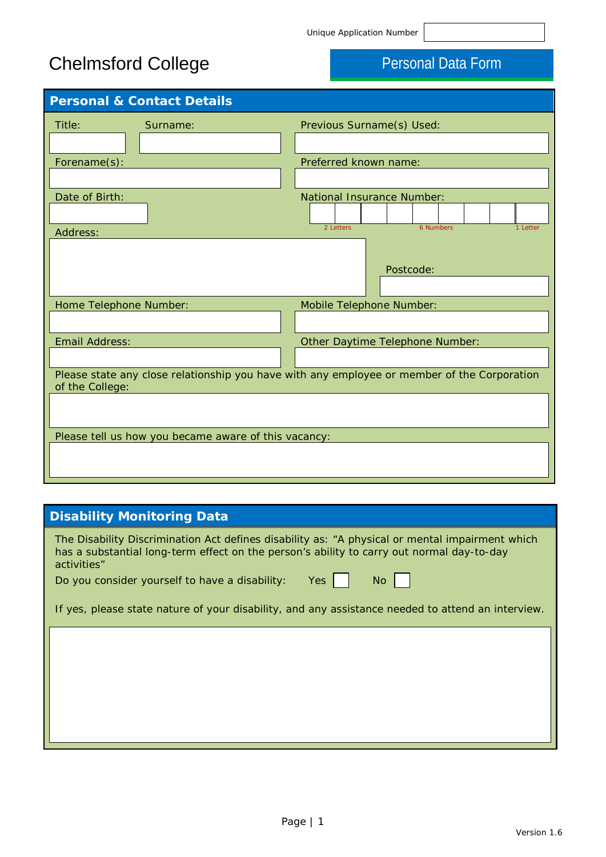# Chelmsford College **Personal Data Form**

| <b>Personal &amp; Contact Details</b>                |                                                                                             |
|------------------------------------------------------|---------------------------------------------------------------------------------------------|
| Title:<br>Surname:                                   | Previous Surname(s) Used:                                                                   |
|                                                      |                                                                                             |
| Forename(s):                                         | Preferred known name:                                                                       |
|                                                      |                                                                                             |
| Date of Birth:                                       | <b>National Insurance Number:</b>                                                           |
| Address:                                             | 6 Numbers<br>2 Letters<br>1 Letter                                                          |
|                                                      | Postcode:                                                                                   |
| Home Telephone Number:                               | Mobile Telephone Number:                                                                    |
|                                                      |                                                                                             |
| <b>Email Address:</b>                                | Other Daytime Telephone Number:                                                             |
|                                                      |                                                                                             |
| of the College:                                      | Please state any close relationship you have with any employee or member of the Corporation |
|                                                      |                                                                                             |
| Please tell us how you became aware of this vacancy: |                                                                                             |
|                                                      |                                                                                             |

## **Disability Monitoring Data**

| The Disability Discrimination Act defines disability as: "A physical or mental impairment which<br>has a substantial long-term effect on the person's ability to carry out normal day-to-day<br>activities" |
|-------------------------------------------------------------------------------------------------------------------------------------------------------------------------------------------------------------|
| Yes<br>Do you consider yourself to have a disability:<br>No                                                                                                                                                 |
| If yes, please state nature of your disability, and any assistance needed to attend an interview.                                                                                                           |
|                                                                                                                                                                                                             |
|                                                                                                                                                                                                             |
|                                                                                                                                                                                                             |
|                                                                                                                                                                                                             |
|                                                                                                                                                                                                             |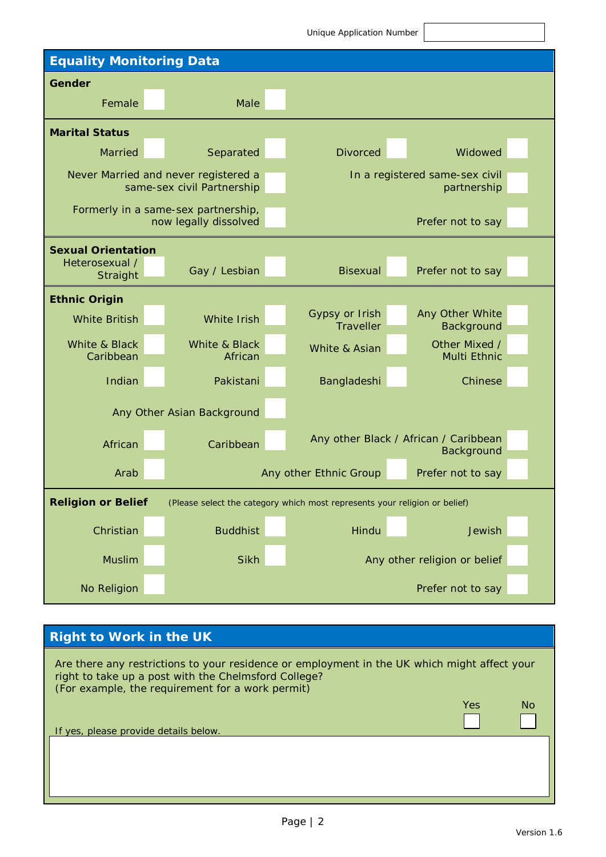Unique Application Number **Equality Monitoring Data Gender** Female Male **Marital Status** Married Separated Divorced Widowed Never Married and never registered a same-sex civil Partnership In a registered same-sex civil partnership Formerly in a same-sex partnership, now legally dissolved **Prefer not to say Sexual Orientation** Heterosexual / Straight Gay / Lesbian Bisexual Prefer not to say **Ethnic Origin** White British White Irish Gypsy or Irish **Traveller** Any Other White **Background** White & Black Caribbean White & Black African White & Asian **Other Mixed /** Multi Ethnic Indian Pakistani Bangladeshi Chinese Any Other Asian Background African Caribbean Any other Black / African / Caribbean **Background** Arab Any other Ethnic Group Prefer not to say **Religion or Belief** (Please select the category which most represents your religion or belief) Christian Buddhist Hindu Jewish Jewish Muslim Sikh Sikh Any other religion or belief No Religion **Prefer not to say** 

### **Right to Work in the UK**

Are there any restrictions to your residence or employment in the UK which might affect your right to take up a post with the Chelmsford College? (For example, the requirement for a work permit) Yes No If yes, please provide details below.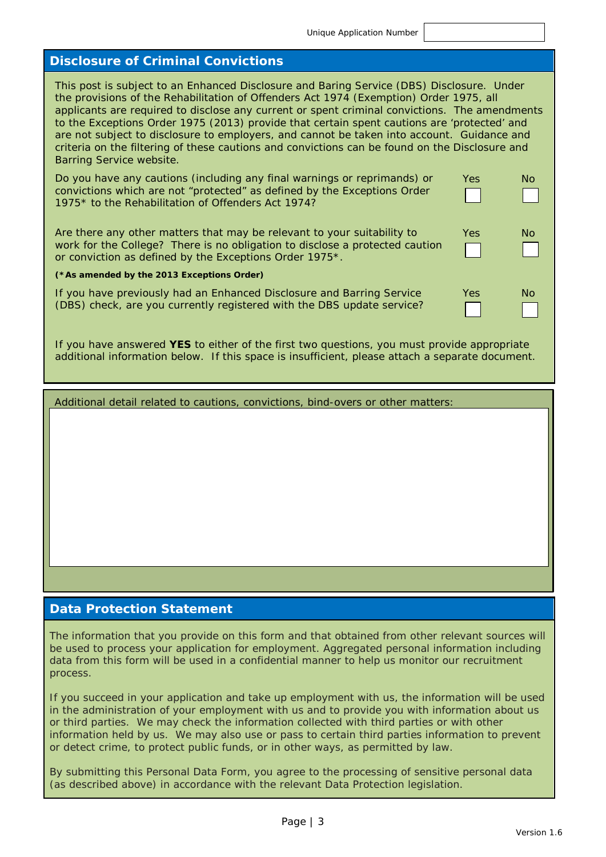Yes No

Yes No

Yes No

### **Disclosure of Criminal Convictions**

This post is subject to an Enhanced Disclosure and Baring Service (DBS) Disclosure. Under the provisions of the Rehabilitation of Offenders Act 1974 (Exemption) Order 1975, all applicants are required to disclose any current or spent criminal convictions. The amendments to the Exceptions Order 1975 (2013) provide that certain spent cautions are 'protected' and are not subject to disclosure to employers, and cannot be taken into account. Guidance and criteria on the filtering of these cautions and convictions can be found on the Disclosure and Barring Service website.

Do you have any cautions (including any final warnings or reprimands) or convictions which are not "protected" as defined by the Exceptions Order 1975\* to the Rehabilitation of Offenders Act 1974?

Are there any other matters that may be relevant to your suitability to work for the College? There is no obligation to disclose a protected caution or conviction as defined by the Exceptions Order 1975\*.

#### *(\*As amended by the 2013 Exceptions Order)*

If you have previously had an Enhanced Disclosure and Barring Service (DBS) check, are you currently registered with the DBS update service?

If you have answered **YES** to either of the first two questions, you must provide appropriate additional information below. If this space is insufficient, please attach a separate document.

Additional detail related to cautions, convictions, bind-overs or other matters:

### **Data Protection Statement**

The information that you provide on this form and that obtained from other relevant sources will be used to process your application for employment. Aggregated personal information including data from this form will be used in a confidential manner to help us monitor our recruitment process.

If you succeed in your application and take up employment with us, the information will be used in the administration of your employment with us and to provide you with information about us or third parties. We may check the information collected with third parties or with other information held by us. We may also use or pass to certain third parties information to prevent or detect crime, to protect public funds, or in other ways, as permitted by law.

By submitting this Personal Data Form, you agree to the processing of sensitive personal data (as described above) in accordance with the relevant Data Protection legislation.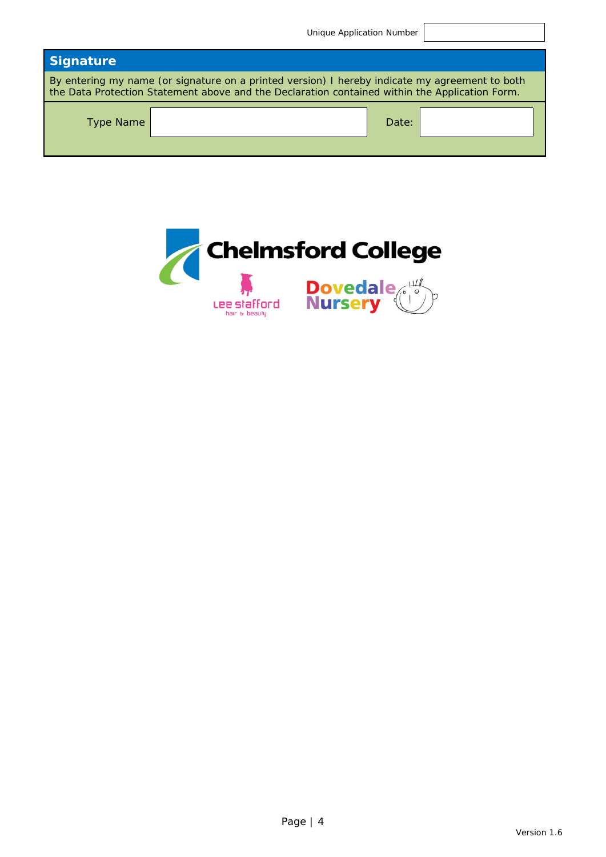|                                                                                                                                                                                                  | Unique Application Number |  |  |
|--------------------------------------------------------------------------------------------------------------------------------------------------------------------------------------------------|---------------------------|--|--|
| <b>Signature</b>                                                                                                                                                                                 |                           |  |  |
| By entering my name (or signature on a printed version) I hereby indicate my agreement to both<br>the Data Protection Statement above and the Declaration contained within the Application Form. |                           |  |  |
| <b>Type Name</b>                                                                                                                                                                                 | Date:                     |  |  |

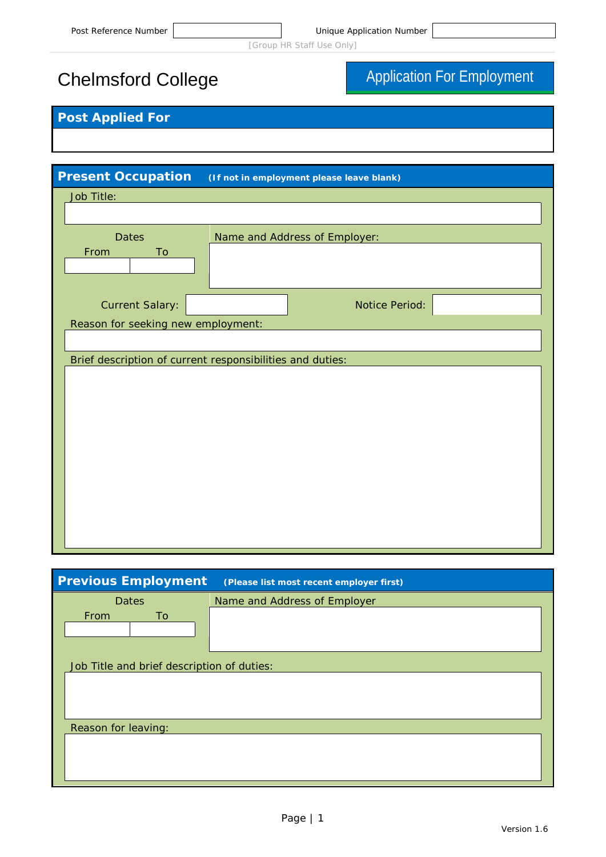# Chelmsford College **Application For Employment**

## **Post Applied For**

| <b>Present Occupation</b>          | (If not in employment please leave blank)                 |
|------------------------------------|-----------------------------------------------------------|
| Job Title:                         |                                                           |
|                                    |                                                           |
| <b>Dates</b>                       | Name and Address of Employer:                             |
| From<br>To                         |                                                           |
|                                    |                                                           |
|                                    |                                                           |
| <b>Current Salary:</b>             | <b>Notice Period:</b>                                     |
| Reason for seeking new employment: |                                                           |
|                                    |                                                           |
|                                    | Brief description of current responsibilities and duties: |
|                                    |                                                           |
|                                    |                                                           |
|                                    |                                                           |
|                                    |                                                           |
|                                    |                                                           |
|                                    |                                                           |
|                                    |                                                           |
|                                    |                                                           |
|                                    |                                                           |
|                                    |                                                           |
|                                    |                                                           |

| <b>Previous Employment</b>                 | (Please list most recent employer first) |
|--------------------------------------------|------------------------------------------|
| <b>Dates</b>                               | Name and Address of Employer             |
| From<br>To                                 |                                          |
|                                            |                                          |
|                                            |                                          |
| Job Title and brief description of duties: |                                          |
|                                            |                                          |
|                                            |                                          |
|                                            |                                          |
| Reason for leaving:                        |                                          |
|                                            |                                          |
|                                            |                                          |
|                                            |                                          |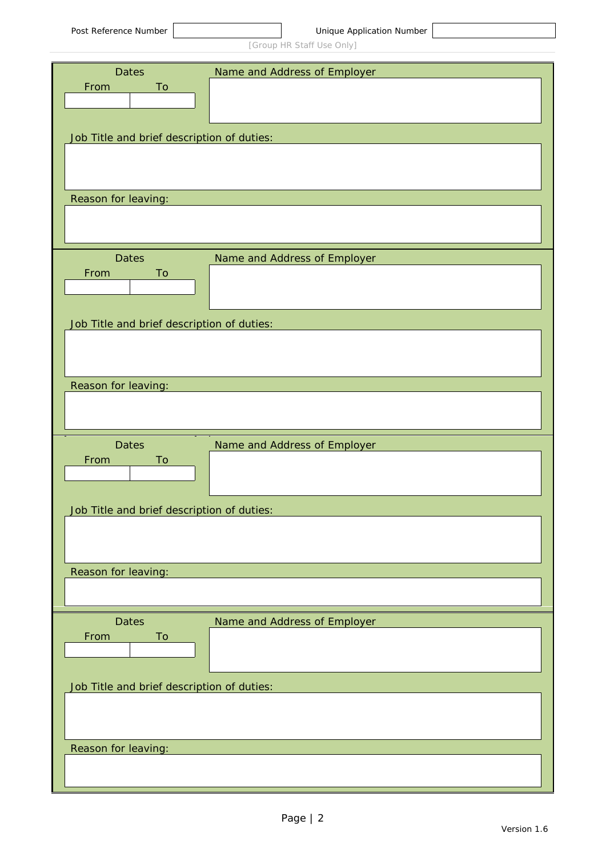| <b>Dates</b>                               | Name and Address of Employer |
|--------------------------------------------|------------------------------|
| To<br>From                                 |                              |
|                                            |                              |
|                                            |                              |
| Job Title and brief description of duties: |                              |
|                                            |                              |
|                                            |                              |
| Reason for leaving:                        |                              |
|                                            |                              |
|                                            |                              |
|                                            |                              |
| <b>Dates</b><br>From<br>To                 | Name and Address of Employer |
|                                            |                              |
|                                            |                              |
| Job Title and brief description of duties: |                              |
|                                            |                              |
|                                            |                              |
|                                            |                              |
| Reason for leaving:                        |                              |
|                                            |                              |
|                                            |                              |
|                                            |                              |
| <b>Dates</b>                               | Name and Address of Employer |
| From<br>To                                 |                              |
|                                            |                              |
|                                            |                              |
| Job Title and brief description of duties: |                              |
|                                            |                              |
|                                            |                              |
| Reason for leaving:                        |                              |
|                                            |                              |
|                                            |                              |
| <b>Dates</b>                               | Name and Address of Employer |
| From<br>To                                 |                              |
|                                            |                              |
|                                            |                              |
| Job Title and brief description of duties: |                              |
|                                            |                              |
|                                            |                              |
|                                            |                              |
| Reason for leaving:                        |                              |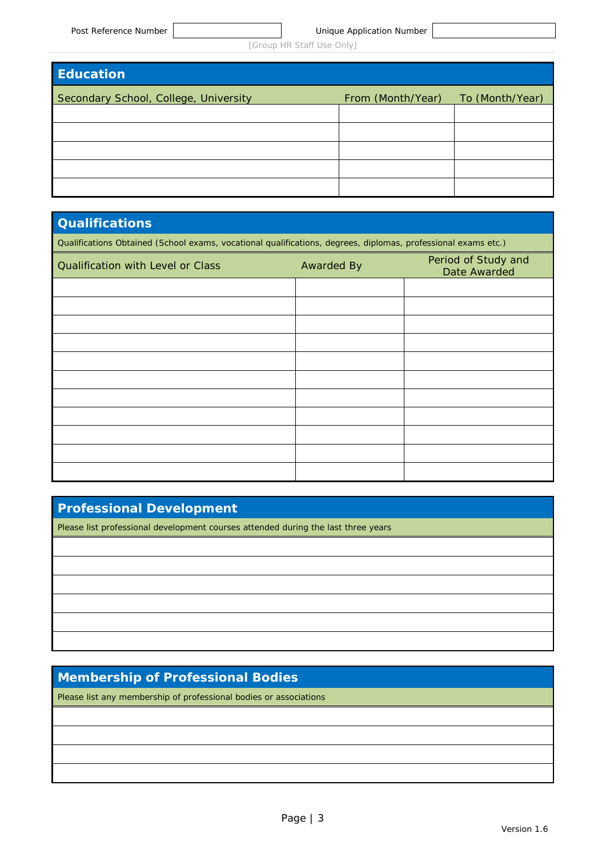| <b>Education</b>                      |                   |                 |
|---------------------------------------|-------------------|-----------------|
| Secondary School, College, University | From (Month/Year) | To (Month/Year) |
|                                       |                   |                 |
|                                       |                   |                 |
|                                       |                   |                 |
|                                       |                   |                 |
|                                       |                   |                 |

### **Qualifications**

*Qualifications Obtained (School exams, vocational qualifications, degrees, diplomas, professional exams etc.)*

| Qualification with Level or Class | <b>Awarded By</b> | Period of Study and<br>Date Awarded |
|-----------------------------------|-------------------|-------------------------------------|
|                                   |                   |                                     |
|                                   |                   |                                     |
|                                   |                   |                                     |
|                                   |                   |                                     |
|                                   |                   |                                     |
|                                   |                   |                                     |
|                                   |                   |                                     |
|                                   |                   |                                     |
|                                   |                   |                                     |
|                                   |                   |                                     |
|                                   |                   |                                     |

### **Professional Development**

*Please list professional development courses attended during the last three years*

### **Membership of Professional Bodies**

*Please list any membership of professional bodies or associations*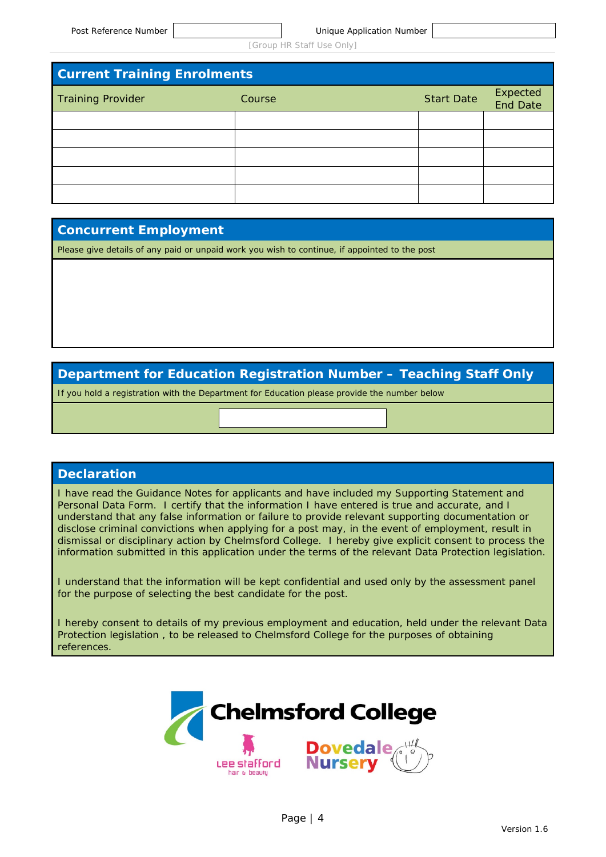| <b>Current Training Enrolments</b> |        |                   |                      |
|------------------------------------|--------|-------------------|----------------------|
| <b>Training Provider</b>           | Course | <b>Start Date</b> | Expected<br>End Date |
|                                    |        |                   |                      |
|                                    |        |                   |                      |
|                                    |        |                   |                      |
|                                    |        |                   |                      |
|                                    |        |                   |                      |

### **Concurrent Employment**

*Please give details of any paid or unpaid work you wish to continue, if appointed to the post*

### **Department for Education Registration Number – Teaching Staff Only**

If you hold a registration with the Department for Education please provide the number below

### **Declaration**

I have read the Guidance Notes for applicants and have included my Supporting Statement and Personal Data Form. I certify that the information I have entered is true and accurate, and I understand that any false information or failure to provide relevant supporting documentation or disclose criminal convictions when applying for a post may, in the event of employment, result in dismissal or disciplinary action by Chelmsford College. I hereby give explicit consent to process the information submitted in this application under the terms of the relevant Data Protection legislation.

I understand that the information will be kept confidential and used only by the assessment panel for the purpose of selecting the best candidate for the post.

I hereby consent to details of my previous employment and education, held under the relevant Data Protection legislation , to be released to Chelmsford College for the purposes of obtaining references.

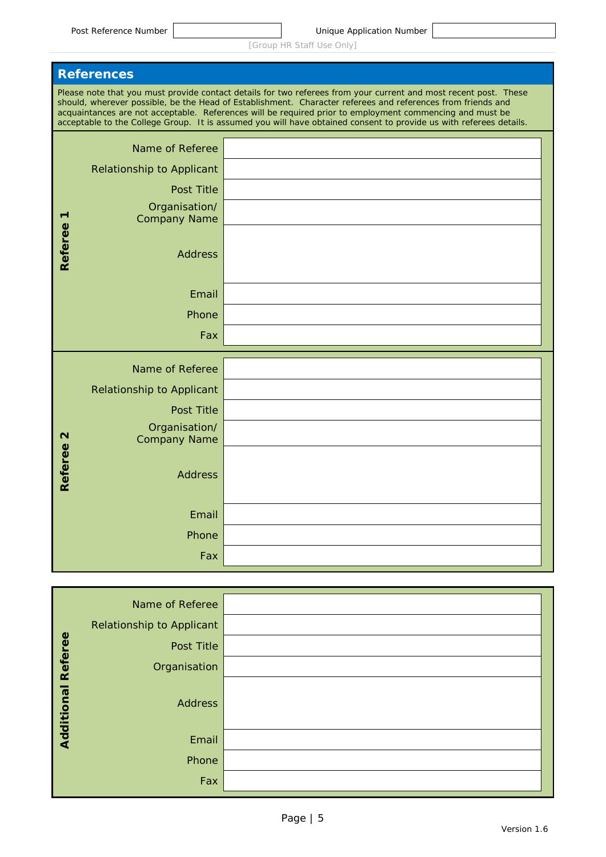|                   | <b>References</b>                    |                                                                                                                                                                                                                                                                                                                                                                                                                                                                   |  |
|-------------------|--------------------------------------|-------------------------------------------------------------------------------------------------------------------------------------------------------------------------------------------------------------------------------------------------------------------------------------------------------------------------------------------------------------------------------------------------------------------------------------------------------------------|--|
|                   |                                      | Please note that you must provide contact details for two referees from your current and most recent post. These<br>should, wherever possible, be the Head of Establishment. Character referees and references from friends and<br>acquaintances are not acceptable. References will be required prior to employment commencing and must be<br>acceptable to the College Group. It is assumed you will have obtained consent to provide us with referees details. |  |
|                   | Name of Referee                      |                                                                                                                                                                                                                                                                                                                                                                                                                                                                   |  |
|                   | <b>Relationship to Applicant</b>     |                                                                                                                                                                                                                                                                                                                                                                                                                                                                   |  |
|                   | Post Title                           |                                                                                                                                                                                                                                                                                                                                                                                                                                                                   |  |
|                   | Organisation/<br><b>Company Name</b> |                                                                                                                                                                                                                                                                                                                                                                                                                                                                   |  |
|                   |                                      |                                                                                                                                                                                                                                                                                                                                                                                                                                                                   |  |
| <b>Referee</b>    | <b>Address</b>                       |                                                                                                                                                                                                                                                                                                                                                                                                                                                                   |  |
|                   |                                      |                                                                                                                                                                                                                                                                                                                                                                                                                                                                   |  |
|                   | Email                                |                                                                                                                                                                                                                                                                                                                                                                                                                                                                   |  |
|                   | Phone                                |                                                                                                                                                                                                                                                                                                                                                                                                                                                                   |  |
|                   | Fax                                  |                                                                                                                                                                                                                                                                                                                                                                                                                                                                   |  |
|                   | Name of Referee                      |                                                                                                                                                                                                                                                                                                                                                                                                                                                                   |  |
|                   | <b>Relationship to Applicant</b>     |                                                                                                                                                                                                                                                                                                                                                                                                                                                                   |  |
|                   | Post Title                           |                                                                                                                                                                                                                                                                                                                                                                                                                                                                   |  |
| $\mathbf{\Omega}$ | Organisation/<br><b>Company Name</b> |                                                                                                                                                                                                                                                                                                                                                                                                                                                                   |  |
|                   |                                      |                                                                                                                                                                                                                                                                                                                                                                                                                                                                   |  |
| <b>Referee</b>    | <b>Address</b>                       |                                                                                                                                                                                                                                                                                                                                                                                                                                                                   |  |
|                   |                                      |                                                                                                                                                                                                                                                                                                                                                                                                                                                                   |  |
|                   | Email                                |                                                                                                                                                                                                                                                                                                                                                                                                                                                                   |  |
|                   | Phone                                |                                                                                                                                                                                                                                                                                                                                                                                                                                                                   |  |
|                   | Fax                                  |                                                                                                                                                                                                                                                                                                                                                                                                                                                                   |  |
|                   |                                      |                                                                                                                                                                                                                                                                                                                                                                                                                                                                   |  |

|                           | Name of Referee           |  |
|---------------------------|---------------------------|--|
|                           | Relationship to Applicant |  |
|                           | Post Title                |  |
|                           | Organisation              |  |
| <b>Additional Referee</b> | <b>Address</b>            |  |
|                           | Email                     |  |
|                           | Phone                     |  |
|                           | Fax                       |  |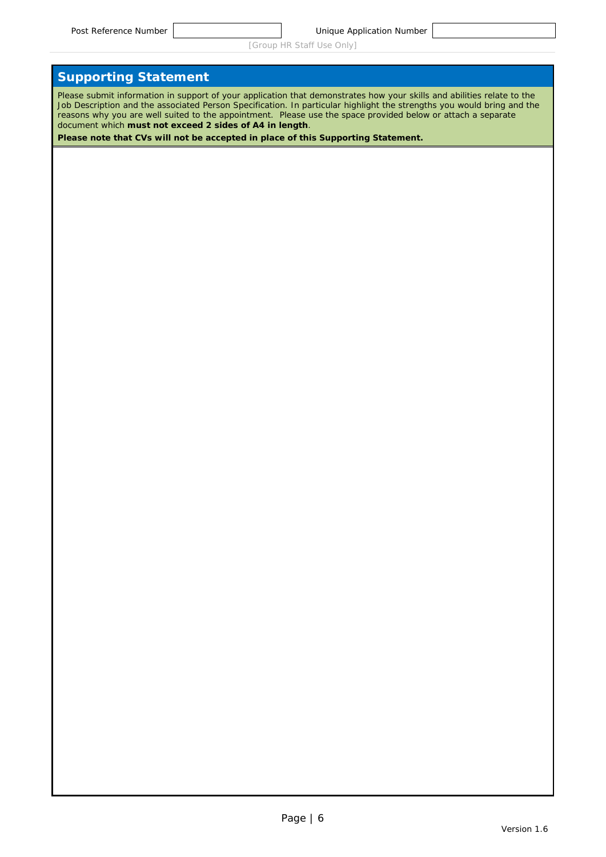### **Supporting Statement**

*Please submit information in support of your application that demonstrates how your skills and abilities relate to the Job Description and the associated Person Specification. In particular highlight the strengths you would bring and the reasons why you are well suited to the appointment. Please use the space provided below or attach a separate document which must not exceed 2 sides of A4 in length.*

*Please note that CVs will not be accepted in place of this Supporting Statement.*